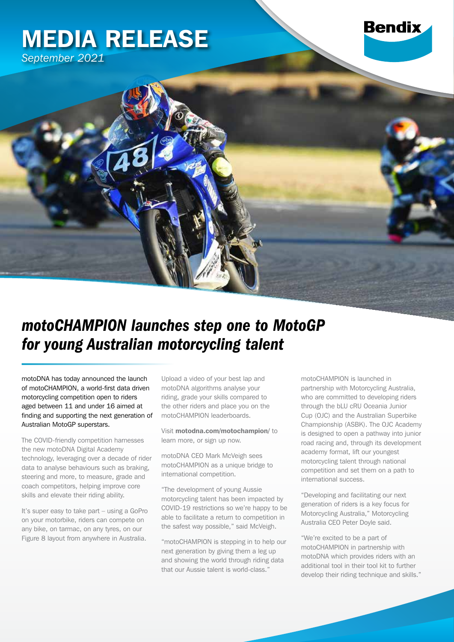## MEDIA RELEASE *September 2021*



motoDNA has today announced the launch of motoCHAMPION, a world-first data driven motorcycling competition open to riders aged between 11 and under 16 aimed at finding and supporting the next generation of Australian MotoGP superstars.

The COVID-friendly competition harnesses the new motoDNA Digital Academy technology, leveraging over a decade of rider data to analyse behaviours such as braking, steering and more, to measure, grade and coach competitors, helping improve core skills and elevate their riding ability.

It's super easy to take part – using a GoPro on your motorbike, riders can compete on any bike, on tarmac, on any tyres, on our Figure 8 layout from anywhere in Australia.

Upload a video of your best lap and motoDNA algorithms analyse your riding, grade your skills compared to the other riders and place you on the motoCHAMPION leaderboards.

Visit motodna.com/motochampion/ to learn more, or sign up now.

motoDNA CEO Mark McVeigh sees motoCHAMPION as a unique bridge to international competition.

"The development of young Aussie motorcycling talent has been impacted by COVID-19 restrictions so we're happy to be able to facilitate a return to competition in the safest way possible," said McVeigh.

"motoCHAMPION is stepping in to help our next generation by giving them a leg up and showing the world through riding data that our Aussie talent is world-class."

motoCHAMPION is launched in partnership with Motorcycling Australia, who are committed to developing riders through the bLU cRU Oceania Junior Cup (OJC) and the Australian Superbike Championship (ASBK). The OJC Academy is designed to open a pathway into junior road racing and, through its development academy format, lift our youngest motorcycling talent through national competition and set them on a path to international success.

**Bendix** 

"Developing and facilitating our next generation of riders is a key focus for Motorcycling Australia," Motorcycling Australia CEO Peter Doyle said.

"We're excited to be a part of motoCHAMPION in partnership with motoDNA which provides riders with an additional tool in their tool kit to further develop their riding technique and skills."